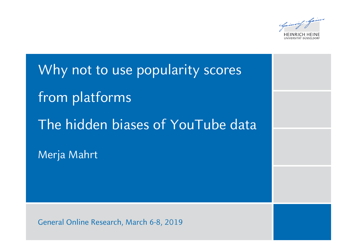Spain

Why not to use popularity scores from platforms The hidden biases of YouTube data Merja Mahrt

General Online Research, March 6-8, 2019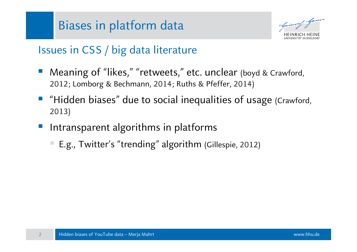### Biases in platform data



#### Issues in CSS / big data literature

- Meaning of "likes," "retweets," etc. unclear (boyd & Crawford, 2012; Lomborg & Bechmann, 2014; Ruths & Pfeffer, 2014)
- "Hidden biases" due to social inequalities of usage (Crawford, 2013)
- Intransparent algorithms in platforms
	- E.g., Twitter's "trending" algorithm (Gillespie, 2012)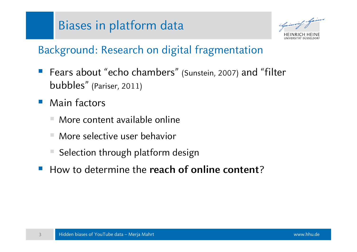### Biases in platform data

#### Background: Research on digital fragmentation

- Fears about "echo chambers" (Sunstein, 2007) and "filter bubbles" (Pariser, 2011)
- $\sim$ Main factors

- More content available online
- More selective user behavior
- Selection through platform design
- **How to determine the reach of online content?**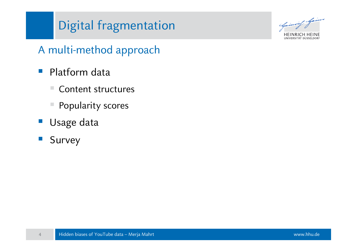# Digital fragmentation

Spainwell Spain **HEINRICH HEINE** UNIVERSITÄT DÜSSELDORI

#### A multi-method approach

- $\mathbb{R}^3$  Platform data
	- $\mathcal{L}_{\mathcal{A}}$ Content structures
	- Popularity scores
- $\mathcal{L}_{\mathcal{A}}$ Usage data
- $\mathcal{L}_{\mathcal{A}}$ Survey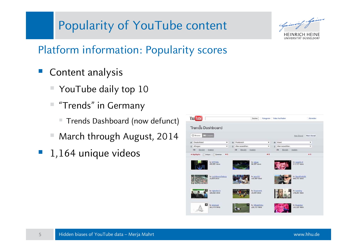Opinion Spine HEINRICH HEINE UNIVERSITÄT DÜSSELDORF

#### Platform information: Popularity scores

- Content analysis
	- YouTube daily top 10
	- "Trends" in Germany
		- $\mathcal{L}_{\mathcal{A}}$ Trends Dashboard (now defunct)
	- March through August, 2014
- **1,164 unique videos**

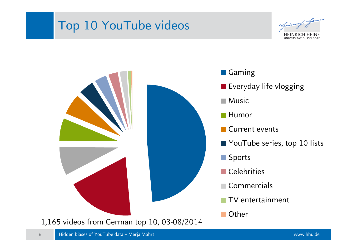### Top 10 YouTube videos

NIVERSITÄT DÜSSELDOR

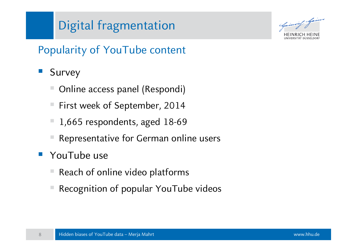# Digital fragmentation

#### Popularity of YouTube content

- Survey
	- Online access panel (Respondi)
	- First week of September, 2014
	- 1,665 respondents, aged 18-69
	- Representative for German online users
- $\mathbb{R}^n$ YouTube use

- Reach of online video platforms
- Recognition of popular YouTube videos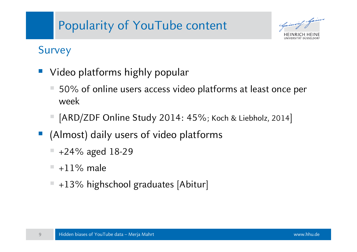Chpiswing 1

#### Survey

- Video platforms highly popular
	- 50% of online users access video platforms at least once per week
	- [ARD/ZDF Online Study 2014: 45%; Koch & Liebholz, 2014]
- (Almost) daily users of video platforms
	- +24% aged 18-29
	- $\mathcal{L}_{\mathcal{A}}$  $+11\%$  male
	- +13% highschool graduates [Abitur]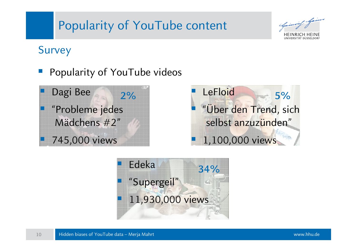#### Survey

Popularity of YouTube videos





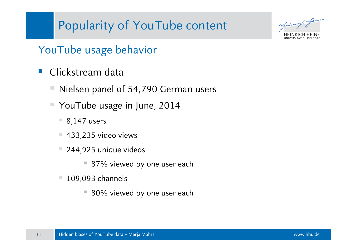Spainwish Jaim

#### YouTube usage behavior

- Clickstream data
	- Nielsen panel of 54,790 German users
	- YouTube usage in June, 2014
		- $\blacksquare$  8,147 users
		- $\mathcal{L}_{\mathcal{A}}$ 433,235 video views
		- $\mathcal{L}_{\mathcal{A}}$  244,925 unique videos
			- 87% viewed by one user each
		- $\mathcal{L}_{\mathcal{A}}$  109,093 channels
			- $\Box$ 80% viewed by one user each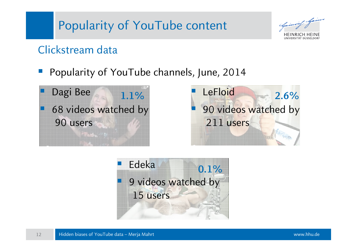

#### Clickstream data

Popularity of YouTube channels, June, 2014





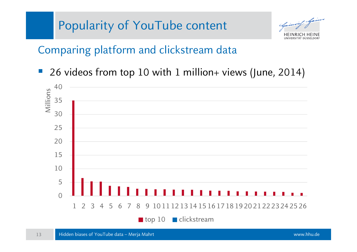Comparing platform and clickstream data

26 videos from top 10 with 1 million+ views (June, 2014)

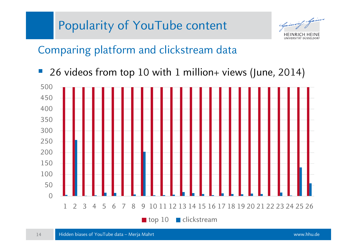

Comparing platform and clickstream data

26 videos from top 10 with 1 million+ views (June, 2014)

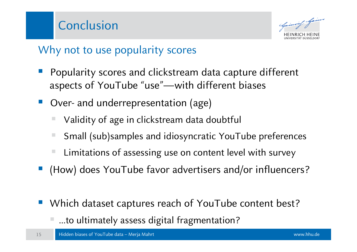

#### Why not to use popularity scores

- Popularity scores and clickstream data capture different aspects of YouTube "use"—with different biases
- Over- and underrepresentation (age)
	- Validity of age in clickstream data doubtful
	- Small (sub)samples and idiosyncratic YouTube preferences
	- Limitations of assessing use on content level with survey
- (How) does YouTube favor advertisers and/or influencers?
- Which dataset captures reach of YouTube content best?
	- …to ultimately assess digital fragmentation?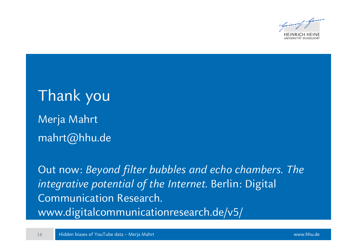

# Thank you Merja Mahrt mahrt@hhu.de

Out now: *Beyond filter bubbles and echo chambers. The integrative potential of the Internet.* Berlin: Digital Communication Research. www.digitalcommunicationresearch.de/v5/